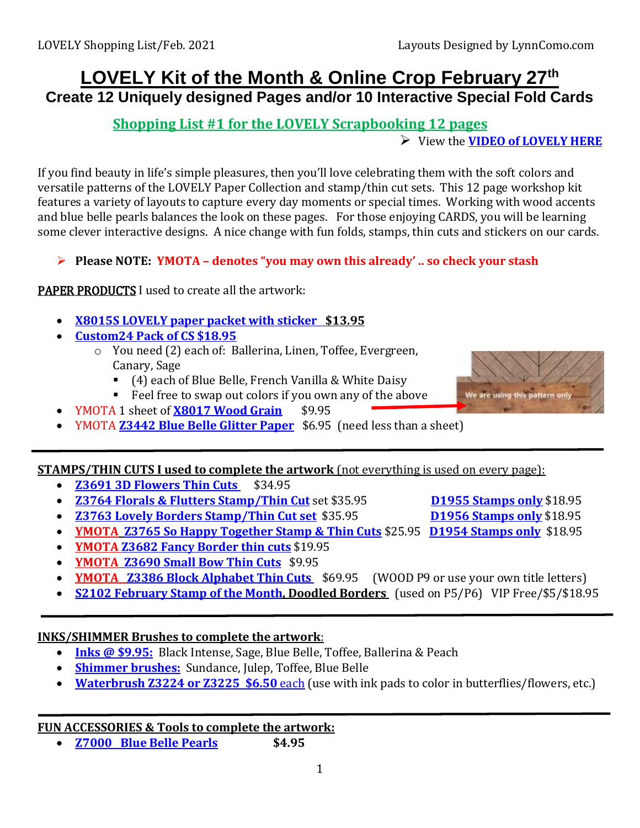## **LOVELY Kit of the Month & Online Crop February 27th Create 12 Uniquely designed Pages and/or 10 Interactive Special Fold Cards**

## **Shopping List #1 for the LOVELY Scrapbooking 12 pages**

View the **[VIDEO of LOVELY HERE](https://youtu.be/egRn2terpKA)**

If you find beauty in life's simple pleasures, then you'll love celebrating them with the soft colors and versatile patterns of the LOVELY Paper Collection and stamp/thin cut sets. This 12 page workshop kit features a variety of layouts to capture every day moments or special times. Working with wood accents and blue belle pearls balances the look on these pages. For those enjoying CARDS, you will be learning some clever interactive designs. A nice change with fun folds, stamps, thin cuts and stickers on our cards.

**Please NOTE: YMOTA – denotes "you may own this already' .. so check your stash**

### PAPER PRODUCTS I used to create all the artwork:

- **X8015S LOVELY [paper packet with sticker](https://lynncomo.closetomyheart.com/retail/product.aspx?itemid=14092) \$13.95**
- **[Custom24 Pack of CS \\$18.95](https://lynncomo.closetomyheart.com/retail/Product.aspx?ItemID=12689)**
	- o You need (2) each of: Ballerina, Linen, Toffee, Evergreen, Canary, Sage
		- (4) each of Blue Belle, French Vanilla & White Daisy
		- Feel free to swap out colors if you own any of the above
- YMOTA 1 sheet of **[X8017 Wood Grain](https://lynncomo.closetomyheart.com/retail/Product.aspx?ItemID=14096)** \$9.95
- YMOTA **[Z3442 Blue Belle Glitter Paper](https://lynncomo.closetomyheart.com/retail/Product.aspx?ItemID=14129)** \$6.95 (need less than a sheet)

#### **STAMPS/THIN CUTS I used to complete the artwork** (not everything is used on every page):

- **[Z3691 3D Flowers](https://lynncomo.closetomyheart.com/retail/Product.aspx?ItemID=14149) Thin Cuts** \$34.95
- **[Z3764 Florals & Flutters Stamp/Thin Cut](https://lynncomo.closetomyheart.com/retail/Product.aspx?ItemID=14168)** set \$35.95 **D1955 [Stamps](https://lynncomo.closetomyheart.com/retail/Product.aspx?ItemID=14029) only** \$18.95
- **[Z3763 Lovely Borders Stamp/Thin Cut](https://lynncomo.closetomyheart.com/retail/product.aspx?itemid=14167) set** \$35.95 **[D1956 Stamps only](https://lynncomo.closetomyheart.com/retail/product.aspx?itemid=14030)** \$18.95
- **YMOTA [Z3765 So Happy Together Stamp & Thin Cuts](https://lynncomo.closetomyheart.com/retail/Product.aspx?ItemID=14169)** \$25.95 **[D1954 Stamps](https://lynncomo.closetomyheart.com/retail/Product.aspx?ItemID=14028) only** \$18.95
- **YMOTA [Z3682 Fancy Border](https://lynncomo.closetomyheart.com/retail/Product.aspx?ItemID=14140) thin cuts** \$19.95
- **YMOTA [Z3690 Small Bow Thin Cuts](https://lynncomo.closetomyheart.com/retail/Product.aspx?ItemID=14148)** \$9.95
- **YMOTA [Z3386 Block Alphabet Thin Cuts](https://lynncomo.closetomyheart.com/retail/Product.aspx?ItemID=10327)** \$69.95 (WOOD P9 or use your own title letters)
- **S2102 February [Stamp of the Month,](https://lynncomo.closetomyheart.com/retail/product.aspx?sku=S2102) Doodled Borders** (used on P5/P6) VIP Free/\$5/\$18.95

#### **INKS/SHIMMER Brushes to complete the artwork**:

- **[Inks @ \\$9.95:](https://lynncomo.closetomyheart.com/retail/Products.aspx?CatalogID=235)** Black Intense, Sage, Blue Belle, Toffee, Ballerina & Peach
- **[Shimmer brushes:](https://lynncomo.closetomyheart.com/retail/search.aspx?searchvalue=shimmer+brushes)** Sundance, Julep, Toffee, Blue Belle
- **[Waterbrush Z3224 or Z3225 \\$6.50](https://lynncomo.closetomyheart.com/retail/search.aspx?searchvalue=waterbrush)** each (use with ink pads to color in butterflies/flowers, etc.)

#### **FUN ACCESSORIES & Tools to complete the artwork:**

**[Z7000 Blue Belle Pearls](https://lynncomo.closetomyheart.com/retail/Product.aspx?ItemID=14313) \$4.95**

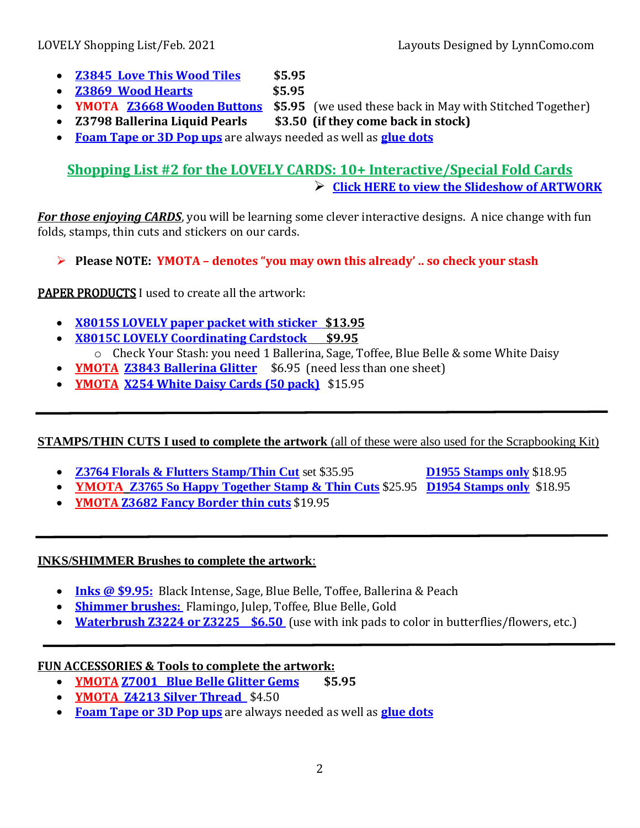- **[Z3845 Love This](https://lynncomo.closetomyheart.com/retail/Product.aspx?ItemID=14248) Wood Tiles \$5.95**
- **[Z3869 Wood Hearts](https://lynncomo.closetomyheart.com/retail/Product.aspx?ItemID=14271) \$5.95**
- 

**YMOTA [Z3668 Wooden Buttons](https://lynncomo.closetomyheart.com/retail/Product.aspx?ItemID=13744) \$5.95** (we used these back in May with Stitched Together)

- **Z3798 Ballerina Liquid Pearls \$3.50 (if they come back in stock)**
- **[Foam Tape or 3D Pop ups](https://lynncomo.closetomyheart.com/retail/search.aspx?searchvalue=foam+tape)** are always needed as well as **[glue dots](https://lynncomo.closetomyheart.com/retail/search.aspx?searchvalue=glue+dots)**

## **Shopping List #2 for the LOVELY CARDS: 10+ Interactive/Special Fold Cards [Click HERE to view the Slideshow of ARTWORK](https://photos.app.goo.gl/EGxWthY57FbBope49)**

*For those enjoying CARDS*, you will be learning some clever interactive designs. A nice change with fun folds, stamps, thin cuts and stickers on our cards.

**Please NOTE: YMOTA – denotes "you may own this already' .. so check your stash**

PAPER PRODUCTS I used to create all the artwork:

- **X8015S LOVELY [paper packet with sticker](https://lynncomo.closetomyheart.com/retail/product.aspx?itemid=14090) \$13.95**
- **[X8015C LOVELY Coordinating Cardstock](https://lynncomo.closetomyheart.com/retail/Product.aspx?ItemID=14091) \$9.95** o Check Your Stash: you need 1 Ballerina, Sage, Toffee, Blue Belle & some White Daisy
- **YMOTA [Z3843 Ballerina Glitter](https://lynncomo.closetomyheart.com/retail/Product.aspx?ItemID=14246)** \$6.95 (need less than one sheet)
- **YMOTA [X254 White Daisy](https://lynncomo.closetomyheart.com/retail/search.aspx?searchvalue=x254) Cards (50 pack)** \$15.95

## **STAMPS/THIN CUTS I used to complete the artwork** (all of these were also used for the Scrapbooking Kit)

- **[Z3764 Florals & Flutters Stamp/Thin Cut](https://lynncomo.closetomyheart.com/retail/Product.aspx?ItemID=14168)** set \$35.95 **[D1955 Stamps only](https://lynncomo.closetomyheart.com/retail/Product.aspx?ItemID=14029)** \$18.95
- **YMOTA [Z3765 So Happy Together Stamp & Thin Cuts](https://lynncomo.closetomyheart.com/retail/Product.aspx?ItemID=14169)** \$25.95 **[D1954 Stamps](https://lynncomo.closetomyheart.com/retail/Product.aspx?ItemID=14028) only** \$18.95
- **YMOTA [Z3682 Fancy Border](https://lynncomo.closetomyheart.com/retail/Product.aspx?ItemID=14140) thin cuts** \$19.95

#### **INKS/SHIMMER Brushes to complete the artwork**:

- **[Inks @ \\$9.95:](https://lynncomo.closetomyheart.com/retail/Products.aspx?CatalogID=235)** Black Intense, Sage, Blue Belle, Toffee, Ballerina & Peach
- **[Shimmer brushes:](https://lynncomo.closetomyheart.com/retail/search.aspx?searchvalue=shimmer+brushes)** Flamingo, Julep, Toffee, Blue Belle, Gold
- **[Waterbrush Z3224 or Z3225 \\$6.50](https://lynncomo.closetomyheart.com/retail/search.aspx?searchvalue=waterbrush)** (use with ink pads to color in butterflies/flowers, etc.)

## **FUN ACCESSORIES & Tools to complete the artwork:**

- **YMOTA [Z7001 Blue Belle Glitter Gems](https://lynncomo.closetomyheart.com/retail/Product.aspx?ItemID=14314) \$5.95**
- **YMOTA [Z4213 Silver Thread](https://lynncomo.closetomyheart.com/retail/Product.aspx?ItemID=11344)** \$4.50
- **[Foam Tape or 3D](https://lynncomo.closetomyheart.com/retail/search.aspx?searchvalue=foam+tape) Pop ups** are always needed as well as **[glue dots](https://lynncomo.closetomyheart.com/retail/search.aspx?searchvalue=glue+dots)**